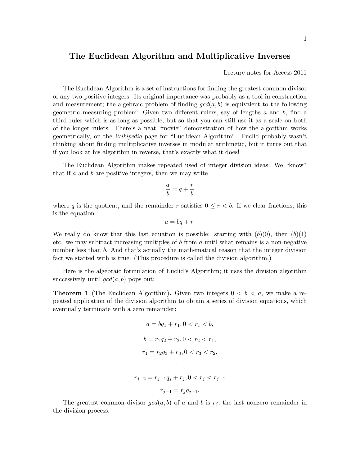## The Euclidean Algorithm and Multiplicative Inverses

Lecture notes for Access 2011

The Euclidean Algorithm is a set of instructions for finding the greatest common divisor of any two positive integers. Its original importance was probably as a tool in construction and measurement; the algebraic problem of finding  $gcd(a, b)$  is equivalent to the following geometric measuring problem: Given two different rulers, say of lengths  $a$  and  $b$ , find a third ruler which is as long as possible, but so that you can still use it as a scale on both of the longer rulers. There's a neat "movie" demonstration of how the algorithm works geometrically, on the Wikipedia page for "Euclidean Algorithm". Euclid probably wasn't thinking about finding multiplicative inverses in modular arithmetic, but it turns out that if you look at his algorithm in reverse, that's exactly what it does!

The Euclidean Algorithm makes repeated used of integer division ideas: We "know" that if  $a$  and  $b$  are positive integers, then we may write

$$
\frac{a}{b}=q+\frac{r}{b}
$$

where q is the quotient, and the remainder r satisfies  $0 \leq r < b$ . If we clear fractions, this is the equation

$$
a = bq + r.
$$

We really do know that this last equation is possible: starting with  $(b)(0)$ , then  $(b)(1)$ etc. we may subtract increasing multiples of b from  $a$  until what remains is a non-negative number less than b. And that's actually the mathematical reason that the integer division fact we started with is true. (This procedure is called the division algorithm.)

Here is the algebraic formulation of Euclid's Algorithm; it uses the division algorithm successively until  $gcd(a, b)$  pops out:

**Theorem 1** (The Euclidean Algorithm). Given two integers  $0 < b < a$ , we make a repeated application of the division algorithm to obtain a series of division equations, which eventually terminate with a zero remainder:

$$
a = bq_1 + r_1, 0 < r_1 < b,
$$
  
\n
$$
b = r_1q_2 + r_2, 0 < r_2 < r_1,
$$
  
\n
$$
r_1 = r_2q_3 + r_3, 0 < r_3 < r_2,
$$
  
\n...  
\n
$$
r_{j-2} = r_{j-1}q_j + r_j, 0 < r_j < r_{j-1}
$$
  
\n
$$
r_{j-1} = r_jq_{j+1}.
$$

The greatest common divisor  $gcd(a, b)$  of a and b is  $r_i$ , the last nonzero remainder in the division process.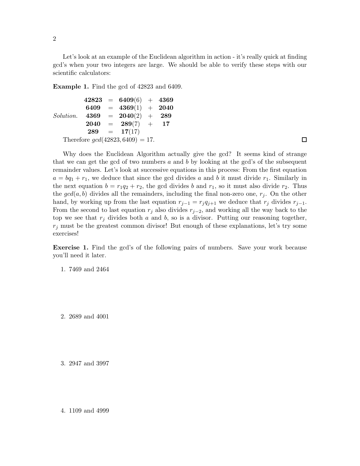Let's look at an example of the Euclidean algorithm in action - it's really quick at finding gcd's when your two integers are large. We should be able to verify these steps with our scientific calculators:

Example 1. Find the gcd of 42823 and 6409.

```
Solution.
42823 = 6409(6) + 43696409 = 4369(1) + 20404369 = 2040(2) + 2892040 = 289(7) + 17289 = 17(17)Therefore gcd(42823, 6409) = 17.
```
 $\Box$ 

Why does the Euclidean Algorithm actually give the gcd? It seems kind of strange that we can get the gcd of two numbers  $a$  and  $b$  by looking at the gcd's of the subsequent remainder values. Let's look at successive equations in this process: From the first equation  $a = bq_1 + r_1$ , we deduce that since the gcd divides a and b it must divide  $r_1$ . Similarly in the next equation  $b = r_1q_2 + r_2$ , the gcd divides b and  $r_1$ , so it must also divide  $r_2$ . Thus the  $gcd(a,b)$  divides all the remainders, including the final non-zero one,  $r_j$ . On the other hand, by working up from the last equation  $r_{j-1} = r_j q_{j+1}$  we deduce that  $r_j$  divides  $r_{j-1}$ . From the second to last equation  $r_j$  also divides  $r_{j-2}$ , and working all the way back to the top we see that  $r_j$  divides both a and b, so is a divisor. Putting our reasoning together,  $r_j$  must be the greatest common divisor! But enough of these explanations, let's try some exercises!

Exercise 1. Find the gcd's of the following pairs of numbers. Save your work because you'll need it later.

1. 7469 and 2464

2. 2689 and 4001

3. 2947 and 3997

4. 1109 and 4999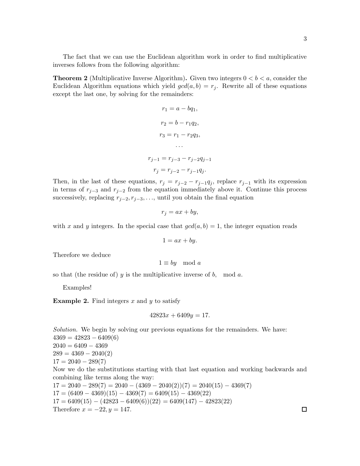The fact that we can use the Euclidean algorithm work in order to find multiplicative inverses follows from the following algorithm:

**Theorem 2** (Multiplicative Inverse Algorithm). Given two integers  $0 < b < a$ , consider the Euclidean Algorithm equations which yield  $gcd(a, b) = r_j$ . Rewrite all of these equations except the last one, by solving for the remainders:

$$
r_1 = a - bq_1,
$$
  
\n
$$
r_2 = b - r_1q_2,
$$
  
\n
$$
r_3 = r_1 - r_2q_3,
$$
  
\n...  
\n
$$
r_{j-1} = r_{j-3} - r_{j-2}q_{j-1}
$$
  
\n
$$
r_j = r_{j-2} - r_{j-1}q_j.
$$

Then, in the last of these equations,  $r_j = r_{j-2} - r_{j-1}q_j$ , replace  $r_{j-1}$  with its expression in terms of  $r_{j-3}$  and  $r_{j-2}$  from the equation immediately above it. Continue this process successively, replacing  $r_{i-2}, r_{i-3}, \ldots$ , until you obtain the final equation

$$
r_j = ax + by,
$$

with x and y integers. In the special case that  $gcd(a, b) = 1$ , the integer equation reads

$$
1 = ax + by.
$$

Therefore we deduce

$$
1 \equiv by \mod a
$$

so that (the residue of)  $y$  is the multiplicative inverse of  $b$ , mod  $a$ .

Examples!

**Example 2.** Find integers  $x$  and  $y$  to satisfy

$$
42823x + 6409y = 17.
$$

Solution. We begin by solving our previous equations for the remainders. We have:  $4369 = 42823 - 6409(6)$  $2040 = 6409 - 4369$  $289 = 4369 - 2040(2)$  $17 = 2040 - 289(7)$ Now we do the substitutions starting with that last equation and working backwards and combining like terms along the way:  $17 = 2040 - 289(7) = 2040 - (4369 - 2040(2))(7) = 2040(15) - 4369(7)$  $17 = (6409 - 4369)(15) - 4369(7) = 6409(15) - 4369(22)$  $17 = 6409(15) - (42823 - 6409(6))(22) = 6409(147) - 42823(22)$ Therefore  $x = -22, y = 147$ .  $\Box$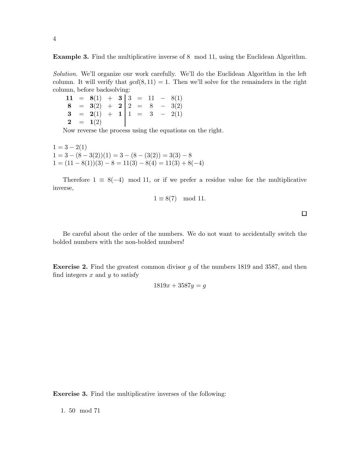Example 3. Find the multiplicative inverse of 8 mod 11, using the Euclidean Algorithm.

Solution. We'll organize our work carefully. We'll do the Euclidean Algorithm in the left column. It will verify that  $gcd(8, 11) = 1$ . Then we'll solve for the remainders in the right column, before backsolving:

11 =  $8(1) + 3 | 3 = 11 - 8(1)$  $8 = 3(2) + 2 | 2 = 8 - 3(2)$  $3 = 2(1) + 1 | 1 = 3 - 2(1)$  $2 = 1(2)$ 

Now reverse the process using the equations on the right.

 $1 = 3 - 2(1)$  $1 = 3 - (8 - 3(2))(1) = 3 - (8 - (3(2))) = 3(3) - 8$  $1 = (11 - 8(1))(3) - 8 = 11(3) - 8(4) = 11(3) + 8(-4)$ 

Therefore  $1 \equiv 8(-4) \mod 11$ , or if we prefer a residue value for the multiplicative inverse,

$$
1 \equiv 8(7) \mod 11.
$$

 $\Box$ 

Be careful about the order of the numbers. We do not want to accidentally switch the bolded numbers with the non-bolded numbers!

Exercise 2. Find the greatest common divisor g of the numbers 1819 and 3587, and then find integers  $x$  and  $y$  to satisfy

$$
1819x + 3587y = g
$$

Exercise 3. Find the multiplicative inverses of the following:

1. 50 mod 71